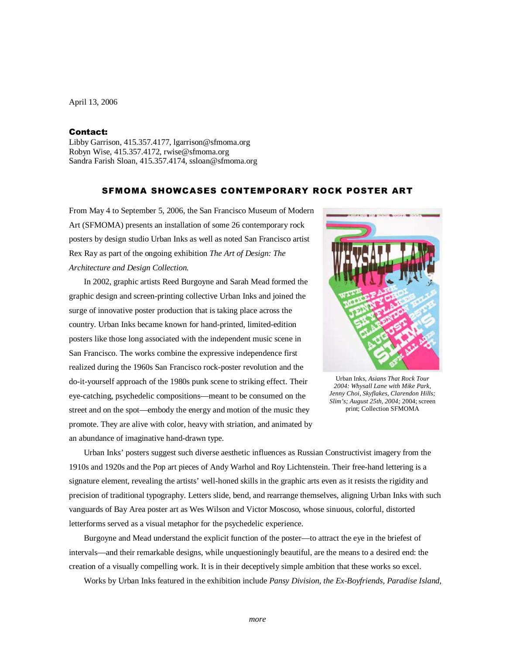April 13, 2006

## Contact:

Libby Garrison, 415.357.4177, lgarrison@sfmoma.org Robyn Wise, 415.357.4172, rwise@sfmoma.org Sandra Farish Sloan, 415.357.4174, ssloan@sfmoma.org

## SFMOMA SHOWCASES CONTEMPORARY ROCK POSTER ART

From May 4 to September 5, 2006, the San Francisco Museum of Modern Art (SFMOMA) presents an installation of some 26 contemporary rock posters by design studio Urban Inks as well as noted San Francisco artist Rex Ray as part of the ongoing exhibition *The Art of Design: The Architecture and Design Collection.*

 In 2002, graphic artists Reed Burgoyne and Sarah Mead formed the graphic design and screen-printing collective Urban Inks and joined the surge of innovative poster production that is taking place across the country. Urban Inks became known for hand-printed, limited-edition posters like those long associated with the independent music scene in San Francisco. The works combine the expressive independence first realized during the 1960s San Francisco rock-poster revolution and the do-it-yourself approach of the 1980s punk scene to striking effect. Their eye-catching, psychedelic compositions—meant to be consumed on the street and on the spot—embody the energy and motion of the music they promote. They are alive with color, heavy with striation, and animated by an abundance of imaginative hand-drawn type.



Urban Inks, *Asians That Rock Tour 2004: Whysall Lane with Mike Park, Jenny Choi, Skyflakes, Clarendon Hills; Slim's; August 25th, 2004;* 2004; screen print; Collection SFMOMA

Urban Inks' posters suggest such diverse aesthetic influences as Russian Constructivist imagery from the 1910s and 1920s and the Pop art pieces of Andy Warhol and Roy Lichtenstein. Their free-hand lettering is a signature element, revealing the artists' well-honed skills in the graphic arts even as it resists the rigidity and precision of traditional typography. Letters slide, bend, and rearrange themselves, aligning Urban Inks with such vanguards of Bay Area poster art as Wes Wilson and Victor Moscoso, whose sinuous, colorful, distorted letterforms served as a visual metaphor for the psychedelic experience.

Burgoyne and Mead understand the explicit function of the poster—to attract the eye in the briefest of intervals—and their remarkable designs, while unquestioningly beautiful, are the means to a desired end: the creation of a visually compelling work. It is in their deceptively simple ambition that these works so excel.

Works by Urban Inks featured in the exhibition include *Pansy Division, the Ex-Boyfriends, Paradise Island,*